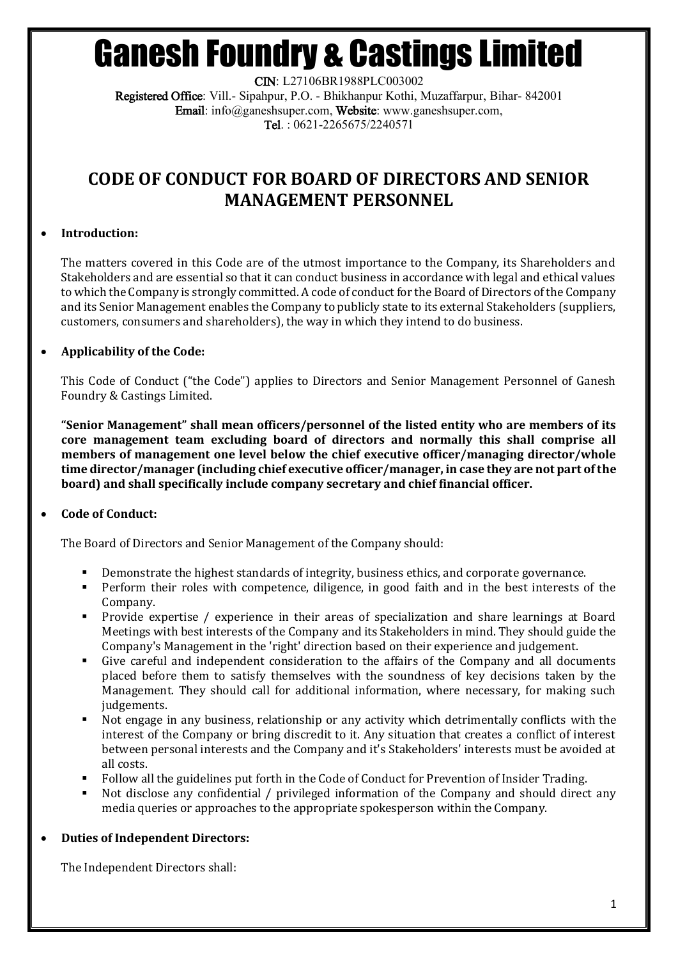## Ganesh Foundry & Castings Limited

CIN: L27106BR1988PLC003002 Registered Office: Vill.- Sipahpur, P.O. - Bhikhanpur Kothi, Muzaffarpur, Bihar- 842001 Email: info@ganeshsuper.com, Website: www.ganeshsuper.com, Tel. : 0621-2265675/2240571

### **CODE OF CONDUCT FOR BOARD OF DIRECTORS AND SENIOR MANAGEMENT PERSONNEL**

#### **Introduction:**

The matters covered in this Code are of the utmost importance to the Company, its Shareholders and Stakeholders and are essential so that it can conduct business in accordance with legal and ethical values to which the Company is strongly committed. A code of conduct for the Board of Directors of the Company and its Senior Management enables the Company to publicly state to its external Stakeholders (suppliers, customers, consumers and shareholders), the way in which they intend to do business.

### **Applicability of the Code:**

This Code of Conduct ("the Code") applies to Directors and Senior Management Personnel of Ganesh Foundry & Castings Limited.

**"Senior Management" shall mean officers/personnel of the listed entity who are members of its core management team excluding board of directors and normally this shall comprise all members of management one level below the chief executive officer/managing director/whole time director/manager (including chief executive officer/manager, in case they are not part of the board) and shall specifically include company secretary and chief financial officer.**

#### **Code of Conduct:**

The Board of Directors and Senior Management of the Company should:

- Demonstrate the highest standards of integrity, business ethics, and corporate governance.
- Perform their roles with competence, diligence, in good faith and in the best interests of the Company.
- Provide expertise / experience in their areas of specialization and share learnings at Board Meetings with best interests of the Company and its Stakeholders in mind. They should guide the Company's Management in the 'right' direction based on their experience and judgement.
- Give careful and independent consideration to the affairs of the Company and all documents placed before them to satisfy themselves with the soundness of key decisions taken by the Management. They should call for additional information, where necessary, for making such judgements.
- Not engage in any business, relationship or any activity which detrimentally conflicts with the interest of the Company or bring discredit to it. Any situation that creates a conflict of interest between personal interests and the Company and it's Stakeholders' interests must be avoided at all costs.
- Follow all the guidelines put forth in the Code of Conduct for Prevention of Insider Trading.
- Not disclose any confidential / privileged information of the Company and should direct any media queries or approaches to the appropriate spokesperson within the Company.

#### **Duties of Independent Directors:**

The Independent Directors shall: